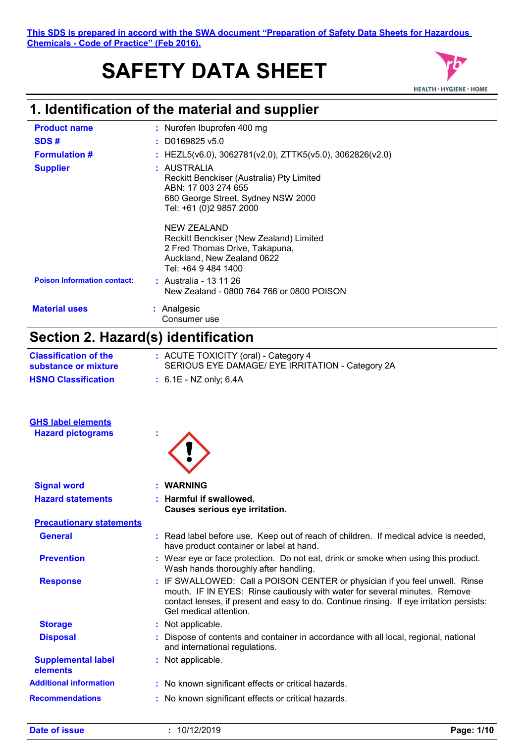**This SDS is prepared in accord with the SWA document "Preparation of Safety Data Sheets for Hazardous Chemicals - Code of Practice" (Feb 2016).**

# **SAFETY DATA SHEET**



## **1. Identification of the material and supplier**

| <b>Product name</b>                 | : Nurofen Ibuprofen 400 mg                                                                                                                                                                                                                            |
|-------------------------------------|-------------------------------------------------------------------------------------------------------------------------------------------------------------------------------------------------------------------------------------------------------|
| SDS#                                | : D0169825 v5.0                                                                                                                                                                                                                                       |
| <b>Formulation #</b>                | : HEZL5(v6.0), 3062781(v2.0), ZTTK5(v5.0), 3062826(v2.0)                                                                                                                                                                                              |
| <b>Supplier</b>                     | : AUSTRALIA<br>Reckitt Benckiser (Australia) Pty Limited<br>ABN: 17 003 274 655<br>680 George Street, Sydney NSW 2000<br>Tel: +61 (0)2 9857 2000                                                                                                      |
|                                     | <b>NEW ZEALAND</b><br>Reckitt Benckiser (New Zealand) Limited<br>2 Fred Thomas Drive, Takapuna,<br>Auckland, New Zealand 0622<br>Tel: +64 9 484 1400                                                                                                  |
| <b>Poison Information contact:</b>  | : Australia - 13 11 26<br>New Zealand - 0800 764 766 or 0800 POISON                                                                                                                                                                                   |
| <b>Material uses</b>                | : Analgesic<br>Consumer use                                                                                                                                                                                                                           |
| Section 2. Hazard(s) identification |                                                                                                                                                                                                                                                       |
| <b>Classification of the</b>        | : ACUTE TOXICITY (oral) - Category 4                                                                                                                                                                                                                  |
| substance or mixture                | SERIOUS EYE DAMAGE/ EYE IRRITATION - Category 2A                                                                                                                                                                                                      |
| <b>HSNO Classification</b>          | $: 6.1E - NZ$ only; 6.4A                                                                                                                                                                                                                              |
| <b>GHS label elements</b>           |                                                                                                                                                                                                                                                       |
| <b>Hazard pictograms</b>            |                                                                                                                                                                                                                                                       |
|                                     |                                                                                                                                                                                                                                                       |
| <b>Signal word</b>                  | <b>WARNING</b>                                                                                                                                                                                                                                        |
| <b>Hazard statements</b>            | <b>Harmful if swallowed.</b><br><b>Causes serious eye irritation.</b>                                                                                                                                                                                 |
| <b>Precautionary statements</b>     |                                                                                                                                                                                                                                                       |
| <b>General</b>                      | : Read label before use. Keep out of reach of children. If medical advice is needed,<br>have product container or label at hand.                                                                                                                      |
| <b>Prevention</b>                   | : Wear eye or face protection. Do not eat, drink or smoke when using this product.<br>Wash hands thoroughly after handling.                                                                                                                           |
| <b>Response</b>                     | : IF SWALLOWED: Call a POISON CENTER or physician if you feel unwell. Rinse<br>mouth. IF IN EYES: Rinse cautiously with water for several minutes. Remove<br>contact lenses, if present and easy to do. Continue rinsing. If eye irritation persists: |

| <b>Storage</b>                        | : Not applicable.                                                                                                    |
|---------------------------------------|----------------------------------------------------------------------------------------------------------------------|
| <b>Disposal</b>                       | Dispose of contents and container in accordance with all local, regional, national<br>and international regulations. |
| <b>Supplemental label</b><br>elements | : Not applicable.                                                                                                    |
| <b>Additional information</b>         | : No known significant effects or critical hazards.                                                                  |
| <b>Recommendations</b>                | : No known significant effects or critical hazards.                                                                  |

Get medical attention.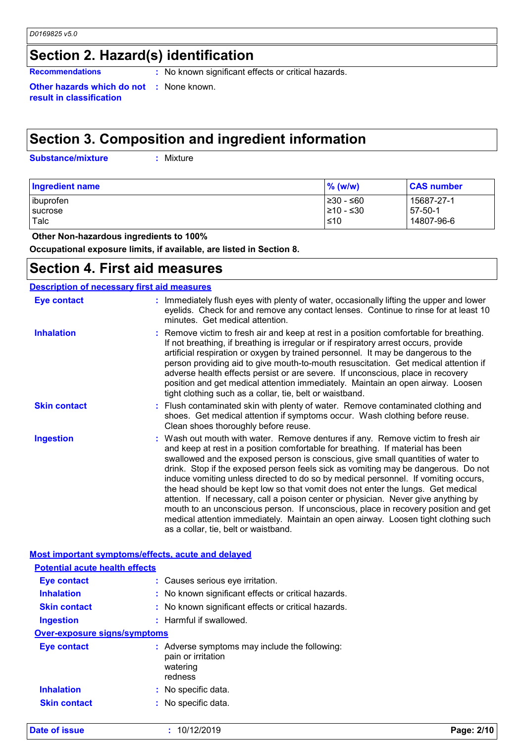## **Section 2. Hazard(s) identification**

**Recommendations :** No known significant effects or critical hazards.

**Other hazards which do not :** None known. **result in classification**

## **Section 3. Composition and ingredient information**

**Substance/mixture :**

: Mixture

| <b>Ingredient name</b> | $%$ (w/w)   | <b>CAS number</b> |
|------------------------|-------------|-------------------|
| ibuprofen              | ≥30 - ≤60   | 15687-27-1        |
| sucrose                | $≥10 - ≤30$ | $57-50-1$         |
| Talc                   | $\leq 10$   | 14807-96-6        |

 **Other Non-hazardous ingredients to 100%**

**Occupational exposure limits, if available, are listed in Section 8.**

### **Section 4. First aid measures**

#### **Description of necessary first aid measures**

**Date of issue b Page:** 20/12/2019

| Eye contact         | : Immediately flush eyes with plenty of water, occasionally lifting the upper and lower<br>eyelids. Check for and remove any contact lenses. Continue to rinse for at least 10<br>minutes. Get medical attention.                                                                                                                                                                                                                                                                                                                                                                                                                                                                                                                                                                                                             |
|---------------------|-------------------------------------------------------------------------------------------------------------------------------------------------------------------------------------------------------------------------------------------------------------------------------------------------------------------------------------------------------------------------------------------------------------------------------------------------------------------------------------------------------------------------------------------------------------------------------------------------------------------------------------------------------------------------------------------------------------------------------------------------------------------------------------------------------------------------------|
| <b>Inhalation</b>   | : Remove victim to fresh air and keep at rest in a position comfortable for breathing.<br>If not breathing, if breathing is irregular or if respiratory arrest occurs, provide<br>artificial respiration or oxygen by trained personnel. It may be dangerous to the<br>person providing aid to give mouth-to-mouth resuscitation. Get medical attention if<br>adverse health effects persist or are severe. If unconscious, place in recovery<br>position and get medical attention immediately. Maintain an open airway. Loosen<br>tight clothing such as a collar, tie, belt or waistband.                                                                                                                                                                                                                                  |
| <b>Skin contact</b> | : Flush contaminated skin with plenty of water. Remove contaminated clothing and<br>shoes. Get medical attention if symptoms occur. Wash clothing before reuse.<br>Clean shoes thoroughly before reuse.                                                                                                                                                                                                                                                                                                                                                                                                                                                                                                                                                                                                                       |
| <b>Ingestion</b>    | : Wash out mouth with water. Remove dentures if any. Remove victim to fresh air<br>and keep at rest in a position comfortable for breathing. If material has been<br>swallowed and the exposed person is conscious, give small quantities of water to<br>drink. Stop if the exposed person feels sick as vomiting may be dangerous. Do not<br>induce vomiting unless directed to do so by medical personnel. If vomiting occurs,<br>the head should be kept low so that vomit does not enter the lungs. Get medical<br>attention. If necessary, call a poison center or physician. Never give anything by<br>mouth to an unconscious person. If unconscious, place in recovery position and get<br>medical attention immediately. Maintain an open airway. Loosen tight clothing such<br>as a collar, tie, belt or waistband. |

| <b>Most important symptoms/effects, acute and delayed</b> |                                                                                            |  |  |
|-----------------------------------------------------------|--------------------------------------------------------------------------------------------|--|--|
| <b>Potential acute health effects</b>                     |                                                                                            |  |  |
| <b>Eye contact</b>                                        | : Causes serious eye irritation.                                                           |  |  |
| <b>Inhalation</b>                                         | : No known significant effects or critical hazards.                                        |  |  |
| <b>Skin contact</b>                                       | : No known significant effects or critical hazards.                                        |  |  |
| <b>Ingestion</b>                                          | $:$ Harmful if swallowed.                                                                  |  |  |
| <b>Over-exposure signs/symptoms</b>                       |                                                                                            |  |  |
| Eye contact                                               | : Adverse symptoms may include the following:<br>pain or irritation<br>watering<br>redness |  |  |
| <b>Inhalation</b>                                         | : No specific data.                                                                        |  |  |
| <b>Skin contact</b>                                       | : No specific data.                                                                        |  |  |
|                                                           |                                                                                            |  |  |

| Page: 2/10 |  |
|------------|--|
|------------|--|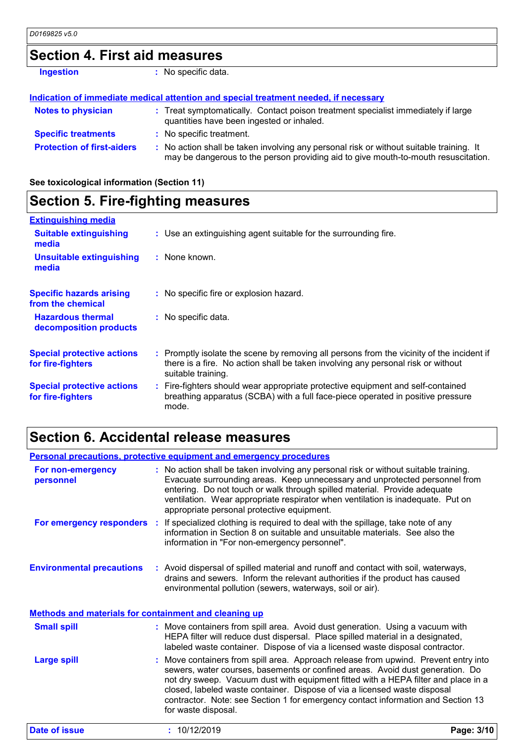## **Section 4. First aid measures**

| <b>Ingestion</b>                  | : No specific data.                                                                                                                                                           |
|-----------------------------------|-------------------------------------------------------------------------------------------------------------------------------------------------------------------------------|
|                                   | Indication of immediate medical attention and special treatment needed, if necessary                                                                                          |
| <b>Notes to physician</b>         | : Treat symptomatically. Contact poison treatment specialist immediately if large<br>quantities have been ingested or inhaled.                                                |
| <b>Specific treatments</b>        | : No specific treatment.                                                                                                                                                      |
| <b>Protection of first-aiders</b> | : No action shall be taken involving any personal risk or without suitable training. It<br>may be dangerous to the person providing aid to give mouth-to-mouth resuscitation. |

**See toxicological information (Section 11)**

| <b>Section 5. Fire-fighting measures</b>               |                                                                                                                                                                                                     |
|--------------------------------------------------------|-----------------------------------------------------------------------------------------------------------------------------------------------------------------------------------------------------|
| <b>Extinguishing media</b>                             |                                                                                                                                                                                                     |
| <b>Suitable extinguishing</b><br>media                 | : Use an extinguishing agent suitable for the surrounding fire.                                                                                                                                     |
| Unsuitable extinguishing<br>media                      | : None known.                                                                                                                                                                                       |
| <b>Specific hazards arising</b><br>from the chemical   | : No specific fire or explosion hazard.                                                                                                                                                             |
| <b>Hazardous thermal</b><br>decomposition products     | : No specific data.                                                                                                                                                                                 |
| <b>Special protective actions</b><br>for fire-fighters | : Promptly isolate the scene by removing all persons from the vicinity of the incident if<br>there is a fire. No action shall be taken involving any personal risk or without<br>suitable training. |
| <b>Special protective actions</b><br>for fire-fighters | : Fire-fighters should wear appropriate protective equipment and self-contained<br>breathing apparatus (SCBA) with a full face-piece operated in positive pressure<br>mode.                         |

## **Section 6. Accidental release measures**

|                                                              | <b>Personal precautions, protective equipment and emergency procedures</b>                                                                                                                                                                                                                                                                                                                                                                       |
|--------------------------------------------------------------|--------------------------------------------------------------------------------------------------------------------------------------------------------------------------------------------------------------------------------------------------------------------------------------------------------------------------------------------------------------------------------------------------------------------------------------------------|
| For non-emergency<br>personnel                               | : No action shall be taken involving any personal risk or without suitable training.<br>Evacuate surrounding areas. Keep unnecessary and unprotected personnel from<br>entering. Do not touch or walk through spilled material. Provide adequate<br>ventilation. Wear appropriate respirator when ventilation is inadequate. Put on<br>appropriate personal protective equipment.                                                                |
| For emergency responders :                                   | If specialized clothing is required to deal with the spillage, take note of any<br>information in Section 8 on suitable and unsuitable materials. See also the<br>information in "For non-emergency personnel".                                                                                                                                                                                                                                  |
| <b>Environmental precautions</b>                             | : Avoid dispersal of spilled material and runoff and contact with soil, waterways,<br>drains and sewers. Inform the relevant authorities if the product has caused<br>environmental pollution (sewers, waterways, soil or air).                                                                                                                                                                                                                  |
| <b>Methods and materials for containment and cleaning up</b> |                                                                                                                                                                                                                                                                                                                                                                                                                                                  |
| <b>Small spill</b>                                           | : Move containers from spill area. Avoid dust generation. Using a vacuum with<br>HEPA filter will reduce dust dispersal. Place spilled material in a designated,<br>labeled waste container. Dispose of via a licensed waste disposal contractor.                                                                                                                                                                                                |
| <b>Large spill</b>                                           | Move containers from spill area. Approach release from upwind. Prevent entry into<br>sewers, water courses, basements or confined areas. Avoid dust generation. Do<br>not dry sweep. Vacuum dust with equipment fitted with a HEPA filter and place in a<br>closed, labeled waste container. Dispose of via a licensed waste disposal<br>contractor. Note: see Section 1 for emergency contact information and Section 13<br>for waste disposal. |
| <b>Date of issue</b>                                         | : 10/12/2019<br>Page: 3/10                                                                                                                                                                                                                                                                                                                                                                                                                       |

| Page: 3/10 |  |
|------------|--|
|            |  |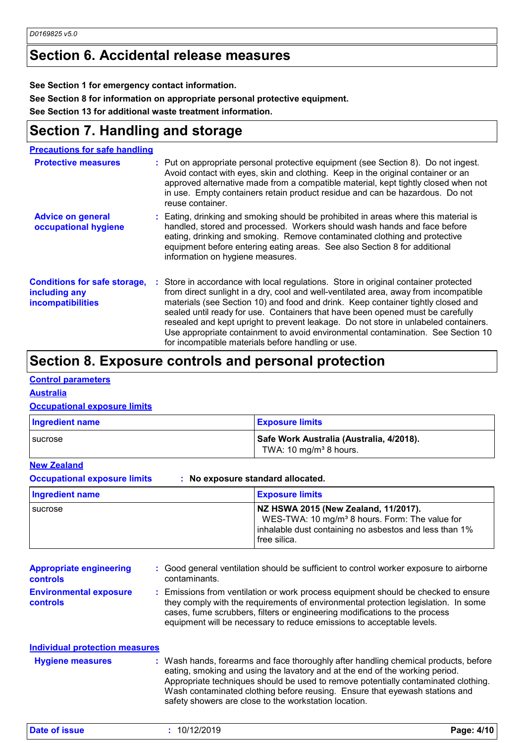## **Section 6. Accidental release measures**

**See Section 1 for emergency contact information.**

**See Section 8 for information on appropriate personal protective equipment.**

**See Section 13 for additional waste treatment information.**

## **Section 7. Handling and storage**

**Precautions for safe handling**

| <b>Protective measures</b>                                                       | : Put on appropriate personal protective equipment (see Section 8). Do not ingest.<br>Avoid contact with eyes, skin and clothing. Keep in the original container or an<br>approved alternative made from a compatible material, kept tightly closed when not<br>in use. Empty containers retain product residue and can be hazardous. Do not<br>reuse container.                                                                                                                                                                                                                   |
|----------------------------------------------------------------------------------|------------------------------------------------------------------------------------------------------------------------------------------------------------------------------------------------------------------------------------------------------------------------------------------------------------------------------------------------------------------------------------------------------------------------------------------------------------------------------------------------------------------------------------------------------------------------------------|
| <b>Advice on general</b><br>occupational hygiene                                 | : Eating, drinking and smoking should be prohibited in areas where this material is<br>handled, stored and processed. Workers should wash hands and face before<br>eating, drinking and smoking. Remove contaminated clothing and protective<br>equipment before entering eating areas. See also Section 8 for additional<br>information on hygiene measures.                                                                                                                                                                                                                      |
| <b>Conditions for safe storage,</b><br>including any<br><b>incompatibilities</b> | : Store in accordance with local regulations. Store in original container protected<br>from direct sunlight in a dry, cool and well-ventilated area, away from incompatible<br>materials (see Section 10) and food and drink. Keep container tightly closed and<br>sealed until ready for use. Containers that have been opened must be carefully<br>resealed and kept upright to prevent leakage. Do not store in unlabeled containers.<br>Use appropriate containment to avoid environmental contamination. See Section 10<br>for incompatible materials before handling or use. |

## **Section 8. Exposure controls and personal protection**

#### **Control parameters**

#### **Australia**

#### **Occupational exposure limits**

| <b>Ingredient name</b> | <b>Exposure limits</b>                                                         |
|------------------------|--------------------------------------------------------------------------------|
| I sucrose              | Safe Work Australia (Australia, 4/2018).<br>TWA: 10 mg/m <sup>3</sup> 8 hours. |

#### **New Zealand**

**Occupational exposure limits : No exposure standard allocated.**

| <b>Ingredient name</b> | <b>Exposure limits</b>                                     |
|------------------------|------------------------------------------------------------|
| sucrose                | NZ HSWA 2015 (New Zealand, 11/2017).                       |
|                        | WES-TWA: 10 mg/m <sup>3</sup> 8 hours. Form: The value for |
|                        | inhalable dust containing no asbestos and less than 1%     |
|                        | free silica.                                               |

| <b>Appropriate engineering</b><br><b>controls</b> | : Good general ventilation should be sufficient to control worker exposure to airborne<br>contaminants.                                                                                                                                                                                                                         |
|---------------------------------------------------|---------------------------------------------------------------------------------------------------------------------------------------------------------------------------------------------------------------------------------------------------------------------------------------------------------------------------------|
| <b>Environmental exposure</b><br><b>controls</b>  | : Emissions from ventilation or work process equipment should be checked to ensure<br>they comply with the requirements of environmental protection legislation. In some<br>cases, fume scrubbers, filters or engineering modifications to the process<br>equipment will be necessary to reduce emissions to acceptable levels. |

| <b>Individual protection measures</b><br><b>Hygiene measures</b> | : Wash hands, forearms and face thoroughly after handling chemical products, before<br>eating, smoking and using the lavatory and at the end of the working period.<br>Appropriate techniques should be used to remove potentially contaminated clothing.<br>Wash contaminated clothing before reusing. Ensure that eyewash stations and<br>safety showers are close to the workstation location. |
|------------------------------------------------------------------|---------------------------------------------------------------------------------------------------------------------------------------------------------------------------------------------------------------------------------------------------------------------------------------------------------------------------------------------------------------------------------------------------|
|------------------------------------------------------------------|---------------------------------------------------------------------------------------------------------------------------------------------------------------------------------------------------------------------------------------------------------------------------------------------------------------------------------------------------------------------------------------------------|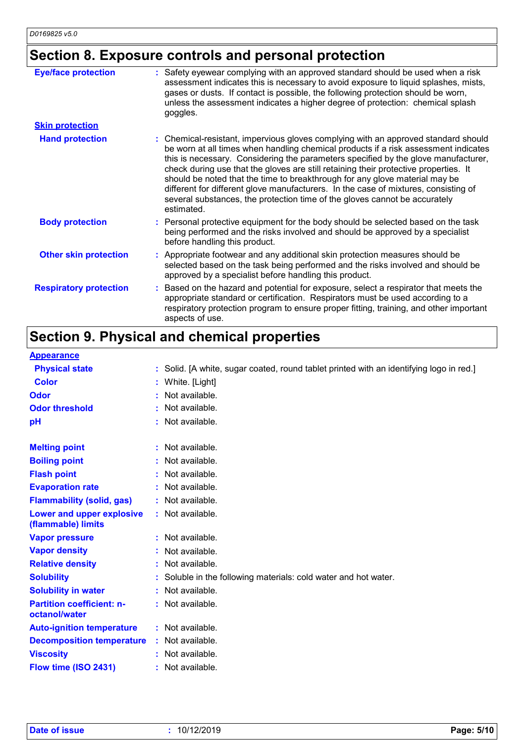## **Section 8. Exposure controls and personal protection**

| <b>Eye/face protection</b>    | : Safety eyewear complying with an approved standard should be used when a risk<br>assessment indicates this is necessary to avoid exposure to liquid splashes, mists,<br>gases or dusts. If contact is possible, the following protection should be worn,<br>unless the assessment indicates a higher degree of protection: chemical splash<br>goggles.                                                                                                                                                                                                                                                                  |
|-------------------------------|---------------------------------------------------------------------------------------------------------------------------------------------------------------------------------------------------------------------------------------------------------------------------------------------------------------------------------------------------------------------------------------------------------------------------------------------------------------------------------------------------------------------------------------------------------------------------------------------------------------------------|
| <b>Skin protection</b>        |                                                                                                                                                                                                                                                                                                                                                                                                                                                                                                                                                                                                                           |
| <b>Hand protection</b>        | : Chemical-resistant, impervious gloves complying with an approved standard should<br>be worn at all times when handling chemical products if a risk assessment indicates<br>this is necessary. Considering the parameters specified by the glove manufacturer,<br>check during use that the gloves are still retaining their protective properties. It<br>should be noted that the time to breakthrough for any glove material may be<br>different for different glove manufacturers. In the case of mixtures, consisting of<br>several substances, the protection time of the gloves cannot be accurately<br>estimated. |
| <b>Body protection</b>        | : Personal protective equipment for the body should be selected based on the task<br>being performed and the risks involved and should be approved by a specialist<br>before handling this product.                                                                                                                                                                                                                                                                                                                                                                                                                       |
| <b>Other skin protection</b>  | : Appropriate footwear and any additional skin protection measures should be<br>selected based on the task being performed and the risks involved and should be<br>approved by a specialist before handling this product.                                                                                                                                                                                                                                                                                                                                                                                                 |
| <b>Respiratory protection</b> | : Based on the hazard and potential for exposure, select a respirator that meets the<br>appropriate standard or certification. Respirators must be used according to a<br>respiratory protection program to ensure proper fitting, training, and other important<br>aspects of use.                                                                                                                                                                                                                                                                                                                                       |

# **Section 9. Physical and chemical properties**

| <b>Appearance</b>                                 |                                                                                         |
|---------------------------------------------------|-----------------------------------------------------------------------------------------|
| <b>Physical state</b>                             | : Solid. [A white, sugar coated, round tablet printed with an identifying logo in red.] |
| <b>Color</b>                                      | : White. [Light]                                                                        |
| <b>Odor</b>                                       | : Not available.                                                                        |
| <b>Odor threshold</b>                             | : Not available.                                                                        |
| pH                                                | : Not available.                                                                        |
| <b>Melting point</b>                              | : Not available.                                                                        |
| <b>Boiling point</b>                              | : Not available.                                                                        |
| <b>Flash point</b>                                | : Not available.                                                                        |
| <b>Evaporation rate</b>                           | : Not available.                                                                        |
| <b>Flammability (solid, gas)</b>                  | : Not available.                                                                        |
| Lower and upper explosive<br>(flammable) limits   | : Not available.                                                                        |
| <b>Vapor pressure</b>                             | : Not available.                                                                        |
| <b>Vapor density</b>                              | : Not available.                                                                        |
| <b>Relative density</b>                           | : Not available.                                                                        |
| <b>Solubility</b>                                 | : Soluble in the following materials: cold water and hot water.                         |
| <b>Solubility in water</b>                        | : Not available.                                                                        |
| <b>Partition coefficient: n-</b><br>octanol/water | : Not available.                                                                        |
| <b>Auto-ignition temperature</b>                  | : Not available.                                                                        |
| <b>Decomposition temperature</b>                  | : Not available.                                                                        |
| <b>Viscosity</b>                                  | : Not available.                                                                        |
| Flow time (ISO 2431)                              | : Not available.                                                                        |
|                                                   |                                                                                         |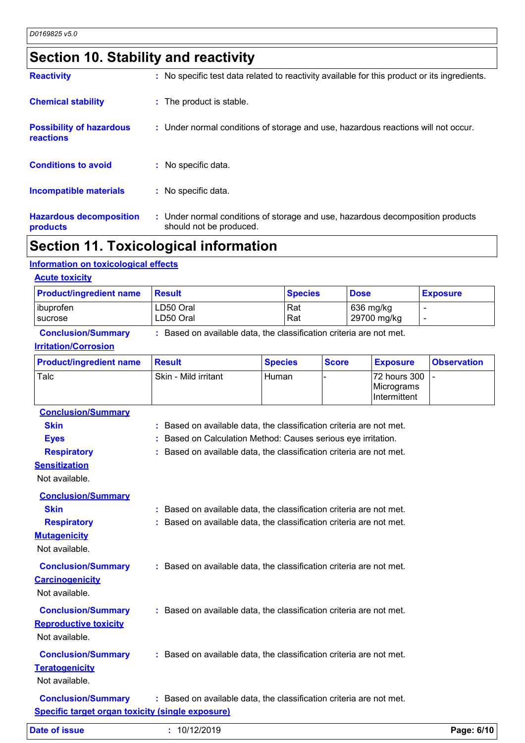## **Section 10. Stability and reactivity**

| <b>Reactivity</b>                            | : No specific test data related to reactivity available for this product or its ingredients.              |
|----------------------------------------------|-----------------------------------------------------------------------------------------------------------|
| <b>Chemical stability</b>                    | : The product is stable.                                                                                  |
| <b>Possibility of hazardous</b><br>reactions | : Under normal conditions of storage and use, hazardous reactions will not occur.                         |
| <b>Conditions to avoid</b>                   | : No specific data.                                                                                       |
| <b>Incompatible materials</b>                | No specific data.<br>t.                                                                                   |
| <b>Hazardous decomposition</b><br>products   | : Under normal conditions of storage and use, hazardous decomposition products<br>should not be produced. |

## **Section 11. Toxicological information**

#### **Information on toxicological effects**

| <b>Product/ingredient name</b>                           | <b>Result</b>                                                       |                | <b>Species</b> |              | <b>Dose</b> |                                            | <b>Exposure</b>          |  |
|----------------------------------------------------------|---------------------------------------------------------------------|----------------|----------------|--------------|-------------|--------------------------------------------|--------------------------|--|
| ibuprofen<br>sucrose                                     | LD50 Oral<br>LD50 Oral                                              |                | Rat<br>Rat     |              |             | 636 mg/kg<br>29700 mg/kg                   | $\overline{\phantom{a}}$ |  |
| <b>Conclusion/Summary</b><br><b>Irritation/Corrosion</b> | : Based on available data, the classification criteria are not met. |                |                |              |             |                                            |                          |  |
| <b>Product/ingredient name</b>                           | <b>Result</b>                                                       | <b>Species</b> |                | <b>Score</b> |             | <b>Exposure</b>                            | <b>Observation</b>       |  |
| Talc                                                     | Skin - Mild irritant                                                | Human          |                |              |             | 72 hours 300<br>Micrograms<br>Intermittent | $\overline{a}$           |  |
| <b>Conclusion/Summary</b>                                |                                                                     |                |                |              |             |                                            |                          |  |
| <b>Skin</b>                                              | : Based on available data, the classification criteria are not met. |                |                |              |             |                                            |                          |  |
| <b>Eyes</b>                                              | Based on Calculation Method: Causes serious eye irritation.         |                |                |              |             |                                            |                          |  |
| <b>Respiratory</b>                                       | : Based on available data, the classification criteria are not met. |                |                |              |             |                                            |                          |  |
| <b>Sensitization</b><br>Not available.                   |                                                                     |                |                |              |             |                                            |                          |  |
| <b>Conclusion/Summary</b>                                |                                                                     |                |                |              |             |                                            |                          |  |
| <b>Skin</b>                                              | : Based on available data, the classification criteria are not met. |                |                |              |             |                                            |                          |  |
| <b>Respiratory</b>                                       | : Based on available data, the classification criteria are not met. |                |                |              |             |                                            |                          |  |
| <b>Mutagenicity</b>                                      |                                                                     |                |                |              |             |                                            |                          |  |
| Not available.                                           |                                                                     |                |                |              |             |                                            |                          |  |
| <b>Conclusion/Summary</b>                                | : Based on available data, the classification criteria are not met. |                |                |              |             |                                            |                          |  |
| <b>Carcinogenicity</b>                                   |                                                                     |                |                |              |             |                                            |                          |  |
| Not available.                                           |                                                                     |                |                |              |             |                                            |                          |  |
| <b>Conclusion/Summary</b>                                | : Based on available data, the classification criteria are not met. |                |                |              |             |                                            |                          |  |
| <b>Reproductive toxicity</b>                             |                                                                     |                |                |              |             |                                            |                          |  |
| Not available.                                           |                                                                     |                |                |              |             |                                            |                          |  |
| <b>Conclusion/Summary</b>                                | : Based on available data, the classification criteria are not met. |                |                |              |             |                                            |                          |  |
| <b>Teratogenicity</b>                                    |                                                                     |                |                |              |             |                                            |                          |  |
| Not available.                                           |                                                                     |                |                |              |             |                                            |                          |  |
|                                                          |                                                                     |                |                |              |             |                                            |                          |  |
| <b>Conclusion/Summary</b>                                | : Based on available data, the classification criteria are not met. |                |                |              |             |                                            |                          |  |
| <b>Specific target organ toxicity (single exposure)</b>  |                                                                     |                |                |              |             |                                            |                          |  |
| <b>Date of issue</b>                                     | : 10/12/2019                                                        |                |                |              |             |                                            | Page: 6/10               |  |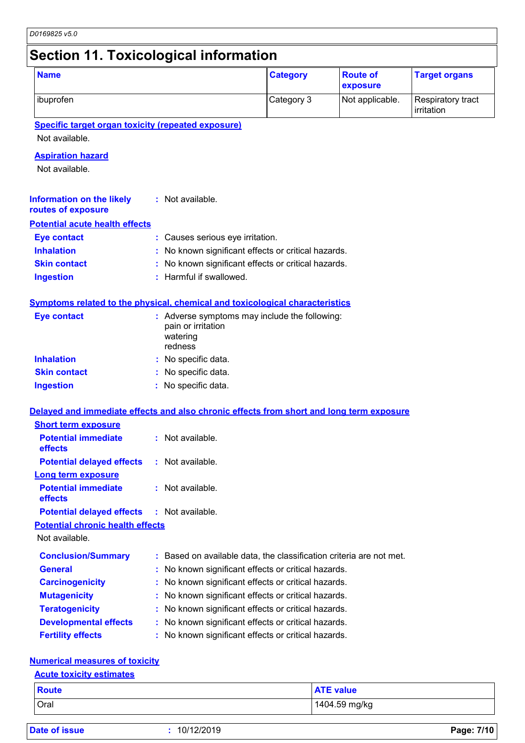## **Section 11. Toxicological information**

| <b>Name</b>                                                                              |                                                                                            | <b>Category</b> | <b>Route of</b><br>exposure | <b>Target organs</b>            |
|------------------------------------------------------------------------------------------|--------------------------------------------------------------------------------------------|-----------------|-----------------------------|---------------------------------|
| ibuprofen                                                                                |                                                                                            | Category 3      | Not applicable.             | Respiratory tract<br>irritation |
| <b>Specific target organ toxicity (repeated exposure)</b>                                |                                                                                            |                 |                             |                                 |
| Not available.                                                                           |                                                                                            |                 |                             |                                 |
| <b>Aspiration hazard</b>                                                                 |                                                                                            |                 |                             |                                 |
| Not available.                                                                           |                                                                                            |                 |                             |                                 |
| <b>Information on the likely</b><br>routes of exposure                                   | : Not available.                                                                           |                 |                             |                                 |
| <b>Potential acute health effects</b>                                                    |                                                                                            |                 |                             |                                 |
| <b>Eye contact</b>                                                                       | : Causes serious eye irritation.                                                           |                 |                             |                                 |
| <b>Inhalation</b>                                                                        | No known significant effects or critical hazards.                                          |                 |                             |                                 |
| <b>Skin contact</b>                                                                      | No known significant effects or critical hazards.                                          |                 |                             |                                 |
| <b>Ingestion</b>                                                                         | : Harmful if swallowed.                                                                    |                 |                             |                                 |
| <b>Symptoms related to the physical, chemical and toxicological characteristics</b>      |                                                                                            |                 |                             |                                 |
| <b>Eye contact</b>                                                                       | : Adverse symptoms may include the following:<br>pain or irritation<br>watering<br>redness |                 |                             |                                 |
| <b>Inhalation</b>                                                                        | No specific data.                                                                          |                 |                             |                                 |
| <b>Skin contact</b>                                                                      | No specific data.                                                                          |                 |                             |                                 |
| <b>Ingestion</b>                                                                         | No specific data.                                                                          |                 |                             |                                 |
| Delayed and immediate effects and also chronic effects from short and long term exposure |                                                                                            |                 |                             |                                 |
| <b>Short term exposure</b>                                                               |                                                                                            |                 |                             |                                 |
| <b>Potential immediate</b><br>effects                                                    | : Not available.                                                                           |                 |                             |                                 |
| <b>Potential delayed effects</b>                                                         | : Not available.                                                                           |                 |                             |                                 |
| Long term exposure                                                                       |                                                                                            |                 |                             |                                 |
| <b>Potential immediate</b><br>effects                                                    | : Not available.                                                                           |                 |                             |                                 |
| <b>Potential delayed effects</b>                                                         | : Not available.                                                                           |                 |                             |                                 |
| <b>Potential chronic health effects</b>                                                  |                                                                                            |                 |                             |                                 |
| Not available.                                                                           |                                                                                            |                 |                             |                                 |
| <b>Conclusion/Summary</b>                                                                | : Based on available data, the classification criteria are not met.                        |                 |                             |                                 |
| <b>General</b>                                                                           | : No known significant effects or critical hazards.                                        |                 |                             |                                 |
| <b>Carcinogenicity</b>                                                                   | No known significant effects or critical hazards.                                          |                 |                             |                                 |
| <b>Mutagenicity</b>                                                                      | : No known significant effects or critical hazards.                                        |                 |                             |                                 |
| <b>Teratogenicity</b>                                                                    | No known significant effects or critical hazards.                                          |                 |                             |                                 |
| <b>Developmental effects</b>                                                             | : No known significant effects or critical hazards.                                        |                 |                             |                                 |
| <b>Fertility effects</b>                                                                 | : No known significant effects or critical hazards.                                        |                 |                             |                                 |
| <b>Numerical measures of toxicity</b>                                                    |                                                                                            |                 |                             |                                 |
| <b>Acute toxicity estimates</b>                                                          |                                                                                            |                 |                             |                                 |

| <b>Route</b> | <b>ATE value</b> |
|--------------|------------------|
| <b>Oral</b>  | 1404.59 mg/kg    |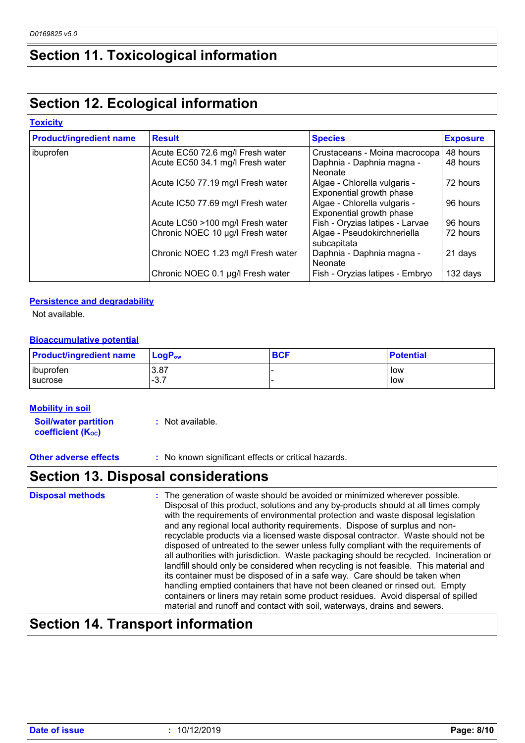## **Section 11. Toxicological information**

## **Section 12. Ecological information**

#### **Toxicity**

| <b>Product/ingredient name</b> | <b>Result</b>                      | <b>Species</b>                                           | <b>Exposure</b> |  |
|--------------------------------|------------------------------------|----------------------------------------------------------|-----------------|--|
| ibuprofen                      | Acute EC50 72.6 mg/l Fresh water   | Crustaceans - Moina macrocopa                            | 48 hours        |  |
|                                | Acute EC50 34.1 mg/l Fresh water   | Daphnia - Daphnia magna -<br><b>Neonate</b>              | 48 hours        |  |
|                                | Acute IC50 77.19 mg/l Fresh water  | Algae - Chlorella vulgaris -<br>Exponential growth phase | 72 hours        |  |
|                                | Acute IC50 77.69 mg/l Fresh water  | Algae - Chlorella vulgaris -<br>Exponential growth phase | 96 hours        |  |
|                                | Acute LC50 >100 mg/l Fresh water   | Fish - Oryzias latipes - Larvae                          | 96 hours        |  |
|                                | Chronic NOEC 10 µg/l Fresh water   | Algae - Pseudokirchneriella<br>subcapitata               | 72 hours        |  |
|                                | Chronic NOEC 1.23 mg/l Fresh water | Daphnia - Daphnia magna -<br><b>Neonate</b>              | 21 days         |  |
|                                | Chronic NOEC 0.1 µg/l Fresh water  | Fish - Oryzias latipes - Embryo                          | 132 days        |  |

#### **Persistence and degradability**

Not available.

#### **Bioaccumulative potential**

| <b>Product/ingredient name</b> | $\blacksquare$ Log $\mathsf{P}_{\mathsf{ow}}$ | <b>BCF</b> | <b>Potential</b> |
|--------------------------------|-----------------------------------------------|------------|------------------|
| ibuprofen                      | $-3.87$                                       |            | low              |
| <b>I</b> sucrose               | - 22<br>. - ت                                 |            | low              |

#### **Mobility in soil**

**Soil/water partition coefficient (K**<sup>oc</sup>)

**:** Not available.

**Other adverse effects** : No known significant effects or critical hazards.

## **Section 13. Disposal considerations**

The generation of waste should be avoided or minimized wherever possible. Disposal of this product, solutions and any by-products should at all times comply with the requirements of environmental protection and waste disposal legislation and any regional local authority requirements. Dispose of surplus and nonrecyclable products via a licensed waste disposal contractor. Waste should not be disposed of untreated to the sewer unless fully compliant with the requirements of all authorities with jurisdiction. Waste packaging should be recycled. Incineration or landfill should only be considered when recycling is not feasible. This material and its container must be disposed of in a safe way. Care should be taken when handling emptied containers that have not been cleaned or rinsed out. Empty containers or liners may retain some product residues. Avoid dispersal of spilled material and runoff and contact with soil, waterways, drains and sewers. **Disposal methods :**

## **Section 14. Transport information**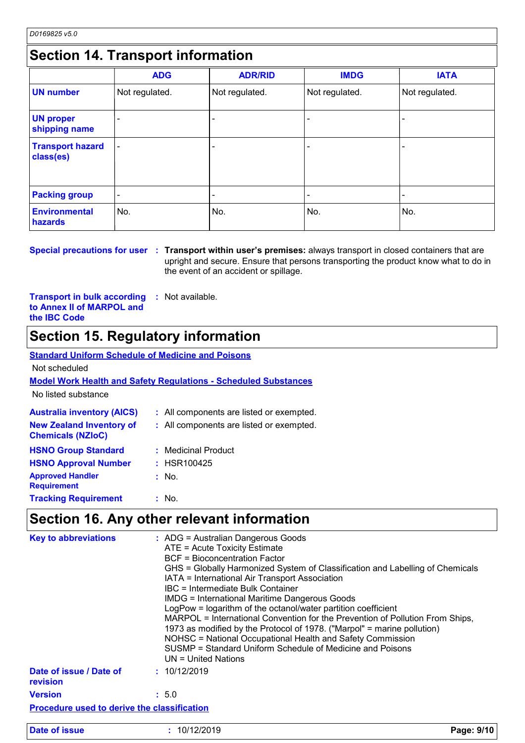## **Section 14. Transport information**

|                                      | <b>ADG</b>               | <b>ADR/RID</b> | <b>IMDG</b>    | <b>IATA</b>    |  |
|--------------------------------------|--------------------------|----------------|----------------|----------------|--|
| <b>UN number</b>                     | Not regulated.           | Not regulated. | Not regulated. | Not regulated. |  |
| <b>UN proper</b><br>shipping name    |                          |                |                |                |  |
| <b>Transport hazard</b><br>class(es) | $\overline{\phantom{0}}$ |                |                |                |  |
| <b>Packing group</b>                 | $\overline{\phantom{0}}$ |                |                |                |  |
| <b>Environmental</b><br>hazards      | No.                      | No.            | No.            | No.            |  |

**Special precautions for user Transport within user's premises:** always transport in closed containers that are **:** upright and secure. Ensure that persons transporting the product know what to do in the event of an accident or spillage.

**Transport in bulk according to Annex II of MARPOL and the IBC Code :** Not available.

## **Section 15. Regulatory information**

#### **Australia inventory (AICS) :** All components are listed or exempted. **Standard Uniform Schedule of Medicine and Poisons Model Work Health and Safety Regulations - Scheduled Substances** No listed substance Not scheduled **New Zealand Inventory of Chemicals (NZIoC) :** All components are listed or exempted. **HSNO Approval Number :** HSR100425 **HSNO Group Standard :** Medicinal Product **Approved Handler Requirement :** No. **Tracking Requirement :** : No.

### **Section 16. Any other relevant information**

| <b>Key to abbreviations</b>                        | : ADG = Australian Dangerous Goods<br>ATE = Acute Toxicity Estimate<br><b>BCF</b> = Bioconcentration Factor<br>GHS = Globally Harmonized System of Classification and Labelling of Chemicals<br>IATA = International Air Transport Association<br>IBC = Intermediate Bulk Container<br><b>IMDG = International Maritime Dangerous Goods</b><br>LogPow = logarithm of the octanol/water partition coefficient<br>MARPOL = International Convention for the Prevention of Pollution From Ships,<br>1973 as modified by the Protocol of 1978. ("Marpol" = marine pollution)<br>NOHSC = National Occupational Health and Safety Commission<br>SUSMP = Standard Uniform Schedule of Medicine and Poisons<br>UN = United Nations |  |
|----------------------------------------------------|----------------------------------------------------------------------------------------------------------------------------------------------------------------------------------------------------------------------------------------------------------------------------------------------------------------------------------------------------------------------------------------------------------------------------------------------------------------------------------------------------------------------------------------------------------------------------------------------------------------------------------------------------------------------------------------------------------------------------|--|
| Date of issue / Date of<br>revision                | : 10/12/2019                                                                                                                                                                                                                                                                                                                                                                                                                                                                                                                                                                                                                                                                                                               |  |
| <b>Version</b>                                     | : 5.0                                                                                                                                                                                                                                                                                                                                                                                                                                                                                                                                                                                                                                                                                                                      |  |
| <b>Procedure used to derive the classification</b> |                                                                                                                                                                                                                                                                                                                                                                                                                                                                                                                                                                                                                                                                                                                            |  |
| <b>Date of issue</b>                               | : 10/12/2019<br>Page: 9/10                                                                                                                                                                                                                                                                                                                                                                                                                                                                                                                                                                                                                                                                                                 |  |